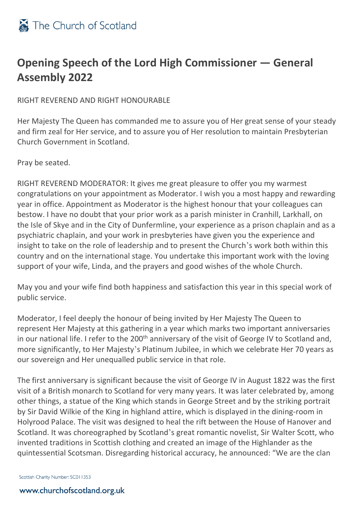

## **Opening Speech of the Lord High Commissioner — General Assembly 2022**

RIGHT REVEREND AND RIGHT HONOURABLE

Her Majesty The Queen has commanded me to assure you of Her great sense of your steady and firm zeal for Her service, and to assure you of Her resolution to maintain Presbyterian Church Government in Scotland.

Pray be seated.

RIGHT REVEREND MODERATOR: It gives me great pleasure to offer you my warmest congratulations on your appointment as Moderator. I wish you a most happy and rewarding year in office. Appointment as Moderator is the highest honour that your colleagues can bestow. I have no doubt that your prior work as a parish minister in Cranhill, Larkhall, on the Isle of Skye and in the City of Dunfermline, your experience as a prison chaplain and as a psychiatric chaplain, and your work in presbyteries have given you the experience and insight to take on the role of leadership and to present the Church's work both within this country and on the international stage. You undertake this important work with the loving support of your wife, Linda, and the prayers and good wishes of the whole Church.

May you and your wife find both happiness and satisfaction this year in this special work of public service.

Moderator, I feel deeply the honour of being invited by Her Majesty The Queen to represent Her Majesty at this gathering in a year which marks two important anniversaries in our national life. I refer to the 200<sup>th</sup> anniversary of the visit of George IV to Scotland and, more significantly, to Her Majesty's Platinum Jubilee, in which we celebrate Her 70 years as our sovereign and Her unequalled public service in that role.

The first anniversary is significant because the visit of George IV in August 1822 was the first visit of a British monarch to Scotland for very many years. It was later celebrated by, among other things, a statue of the King which stands in George Street and by the striking portrait by Sir David Wilkie of the King in highland attire, which is displayed in the dining-room in Holyrood Palace. The visit was designed to heal the rift between the House of Hanover and Scotland. It was choreographed by Scotland's great romantic novelist, Sir Walter Scott, who invented traditions in Scottish clothing and created an image of the Highlander as the quintessential Scotsman. Disregarding historical accuracy, he announced: "We are the clan

Scottish Charity Number: SC011353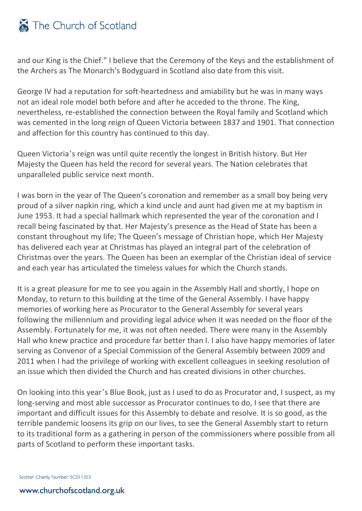## The Church of Scotland

and our King is the Chief." I believe that the Ceremony of the Keys and the establishment of the Archers as The Monarch's Bodyguard in Scotland also date from this visit.

George IV had a reputation for soft-heartedness and amiability but he was in many ways not an ideal role model both before and after he acceded to the throne. The King, nevertheless, re-established the connection between the Royal family and Scotland which was cemented in the long reign of Queen Victoria between 1837 and 1901. That connection and affection for this country has continued to this day.

Queen Victoria's reign was until quite recently the longest in British history. But Her Majesty the Queen has held the record for several years. The Nation celebrates that unparalleled public service next month.

I was born in the year of The Queen's coronation and remember as a small boy being very proud of a silver napkin ring, which a kind uncle and aunt had given me at my baptism in June 1953. It had a special hallmark which represented the year of the coronation and I recall being fascinated by that. Her Majesty's presence as the Head of State has been a constant throughout my life; The Queen's message of Christian hope, which Her Majesty has delivered each year at Christmas has played an integral part of the celebration of Christmas over the years. The Queen has been an exemplar of the Christian ideal of service and each year has articulated the timeless values for which the Church stands.

It is a great pleasure for me to see you again in the Assembly Hall and shortly, I hope on Monday, to return to this building at the time of the General Assembly. I have happy memories of working here as Procurator to the General Assembly for several years following the millennium and providing legal advice when it was needed on the floor of the Assembly. Fortunately for me, it was not often needed. There were many in the Assembly Hall who knew practice and procedure far better than I. I also have happy memories of later serving as Convenor of a Special Commission of the General Assembly between 2009 and 2011 when I had the privilege of working with excellent colleagues in seeking resolution of an issue which then divided the Church and has created divisions in other churches.

On looking into this year's Blue Book, just as I used to do as Procurator and, I suspect, as my long-serving and most able successor as Procurator continues to do, I see that there are important and difficult issues for this Assembly to debate and resolve. It is so good, as the terrible pandemic loosens its grip on our lives, to see the General Assembly start to return to its traditional form as a gathering in person of the commissioners where possible from all parts of Scotland to perform these important tasks.

Scottish Charity Number: SC011353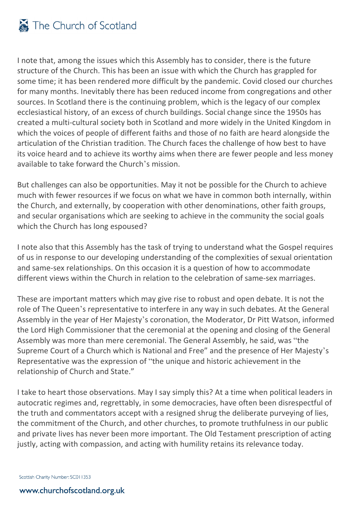

I note that, among the issues which this Assembly has to consider, there is the future structure of the Church. This has been an issue with which the Church has grappled for some time; it has been rendered more difficult by the pandemic. Covid closed our churches for many months. Inevitably there has been reduced income from congregations and other sources. In Scotland there is the continuing problem, which is the legacy of our complex ecclesiastical history, of an excess of church buildings. Social change since the 1950s has created a multi-cultural society both in Scotland and more widely in the United Kingdom in which the voices of people of different faiths and those of no faith are heard alongside the articulation of the Christian tradition. The Church faces the challenge of how best to have its voice heard and to achieve its worthy aims when there are fewer people and less money available to take forward the Church's mission.

But challenges can also be opportunities. May it not be possible for the Church to achieve much with fewer resources if we focus on what we have in common both internally, within the Church, and externally, by cooperation with other denominations, other faith groups, and secular organisations which are seeking to achieve in the community the social goals which the Church has long espoused?

I note also that this Assembly has the task of trying to understand what the Gospel requires of us in response to our developing understanding of the complexities of sexual orientation and same-sex relationships. On this occasion it is a question of how to accommodate different views within the Church in relation to the celebration of same-sex marriages.

These are important matters which may give rise to robust and open debate. It is not the role of The Queen's representative to interfere in any way in such debates. At the General Assembly in the year of Her Majesty's coronation, the Moderator, Dr Pitt Watson, informed the Lord High Commissioner that the ceremonial at the opening and closing of the General Assembly was more than mere ceremonial. The General Assembly, he said, was "the Supreme Court of a Church which is National and Free" and the presence of Her Majesty's Representative was the expression of "the unique and historic achievement in the relationship of Church and State."

I take to heart those observations. May I say simply this? At a time when political leaders in autocratic regimes and, regrettably, in some democracies, have often been disrespectful of the truth and commentators accept with a resigned shrug the deliberate purveying of lies, the commitment of the Church, and other churches, to promote truthfulness in our public and private lives has never been more important. The Old Testament prescription of acting justly, acting with compassion, and acting with humility retains its relevance today.

Scottish Charity Number: SC011353